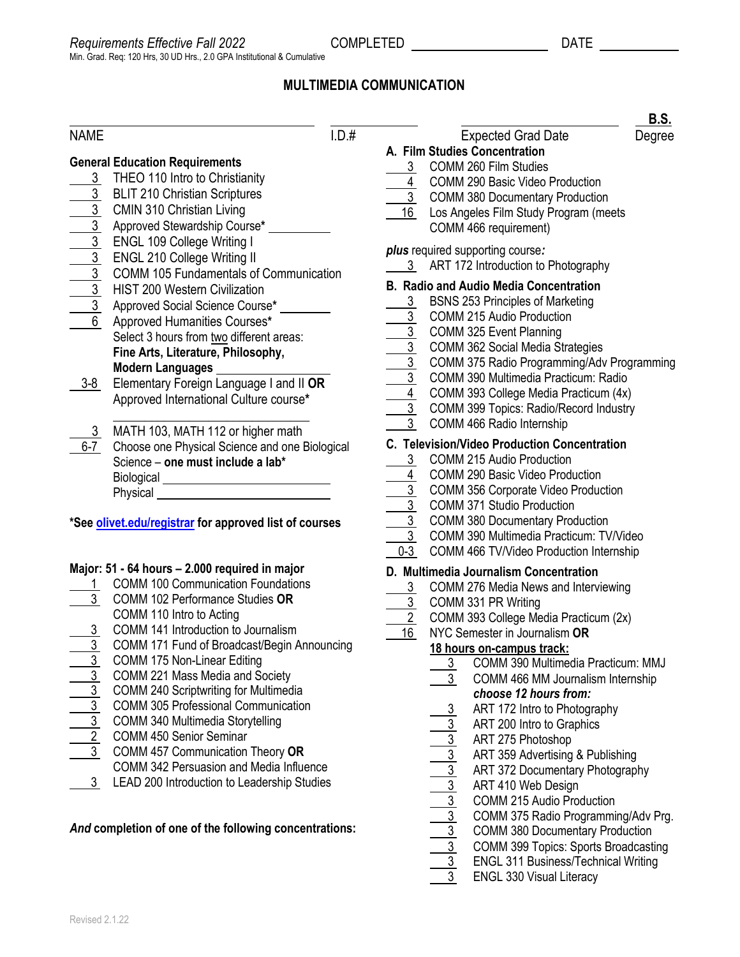# **MULTIMEDIA COMMUNICATION**

#### NAME I.D.# Expected Grad Date Degree **General Education Requirements** 3 THEO 110 Intro to Christianity 3 BLIT 210 Christian Scriptures  $\overline{3}$  CMIN 310 Christian Living 3 Approved Stewardship Course**\*** 3 ENGL 109 College Writing I 3 ENGL 210 College Writing II 3 COMM 105 Fundamentals of Communication 3 HIST 200 Western Civilization 3 Approved Social Science Course**\*** 6 Approved Humanities Courses**\*** Select 3 hours from two different areas: **Fine Arts, Literature, Philosophy, Modern Languages** 3-8 Elementary Foreign Language I and II **OR** Approved International Culture course**\*** \_\_\_\_\_\_\_\_\_\_\_\_\_\_\_\_\_\_\_\_\_\_\_\_\_\_\_\_\_\_\_ 3 MATH 103, MATH 112 or higher math 6-7 Choose one Physical Science and one Biological Science – **one must include a lab\* Biological** Physical **\*Se[e olivet.edu/registrar](https://www.olivet.edu/registrar) for approved list of courses Major: 51 - 64 hours – 2.000 required in major** 1 COMM 100 Communication Foundations 3 COMM 102 Performance Studies **OR** COMM 110 Intro to Acting 3 COMM 141 Introduction to Journalism 3 COMM 171 Fund of Broadcast/Begin Announcing 3 COMM 175 Non-Linear Editing 3 COMM 221 Mass Media and Society 3 COMM 240 Scriptwriting for Multimedia 3 COMM 305 Professional Communication **A. Film Studies Concentration** 3 COMM 260 Film Studies 4 COMM 290 Basic Video Production 3 COMM 380 Documentary Production 16 Los Angeles Film Study Program (meets COMM 466 requirement) *plus* required supporting course*:* 3 ART 172 Introduction to Photography **B. Radio and Audio Media Concentration** 3 BSNS 253 Principles of Marketing 3 COMM 215 Audio Production 3 COMM 325 Event Planning 3 COMM 362 Social Media Strategies 3 COMM 375 Radio Programming/Adv Programming 3 COMM 390 Multimedia Practicum: Radio 4 COMM 393 College Media Practicum (4x) 3 COMM 399 Topics: Radio/Record Industry 3 COMM 466 Radio Internship **C. Television/Video Production Concentration** 3 COMM 215 Audio Production 4 COMM 290 Basic Video Production 3 COMM 356 Corporate Video Production 3 COMM 371 Studio Production 3 COMM 380 Documentary Production 3 COMM 390 Multimedia Practicum: TV/Video 0-3 COMM 466 TV/Video Production Internship **D. Multimedia Journalism Concentration** 3 COMM 276 Media News and Interviewing 3 COMM 331 PR Writing 2 COMM 393 College Media Practicum (2x) 16 NYC Semester in Journalism **OR 18 hours on-campus track:** 3 COMM 390 Multimedia Practicum: MMJ 3 COMM 466 MM Journalism Internship *choose 12 hours from:* 3 ART 172 Intro to Photography ART 200 Intro to Graphics

- 3 COMM 340 Multimedia Storytelling
- 2 COMM 450 Senior Seminar
- 3 COMM 457 Communication Theory **OR**
- COMM 342 Persuasion and Media Influence
- 3 LEAD 200 Introduction to Leadership Studies

#### *And* **completion of one of the following concentrations:**

**ENGL 330 Visual Literacy** 

3 ART 275 Photoshop

3 ART 410 Web Design

 3 ART 359 Advertising & Publishing 3 ART 372 Documentary Photography

COMM 215 Audio Production

 3 COMM 375 Radio Programming/Adv Prg. 3 COMM 380 Documentary Production 3 COMM 399 Topics: Sports Broadcasting 3 ENGL 311 Business/Technical Writing

Revised 2.1.22